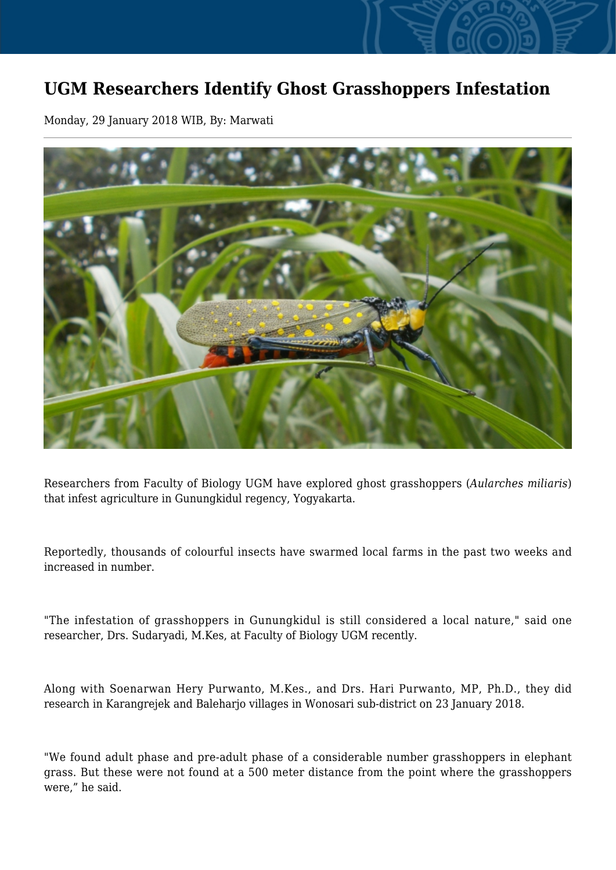## **UGM Researchers Identify Ghost Grasshoppers Infestation**

Monday, 29 January 2018 WIB, By: Marwati



Researchers from Faculty of Biology UGM have explored ghost grasshoppers (*Aularches miliaris*) that infest agriculture in Gunungkidul regency, Yogyakarta.

Reportedly, thousands of colourful insects have swarmed local farms in the past two weeks and increased in number.

"The infestation of grasshoppers in Gunungkidul is still considered a local nature," said one researcher, Drs. Sudaryadi, M.Kes, at Faculty of Biology UGM recently.

Along with Soenarwan Hery Purwanto, M.Kes., and Drs. Hari Purwanto, MP, Ph.D., they did research in Karangrejek and Baleharjo villages in Wonosari sub-district on 23 January 2018.

"We found adult phase and pre-adult phase of a considerable number grasshoppers in elephant grass. But these were not found at a 500 meter distance from the point where the grasshoppers were," he said.